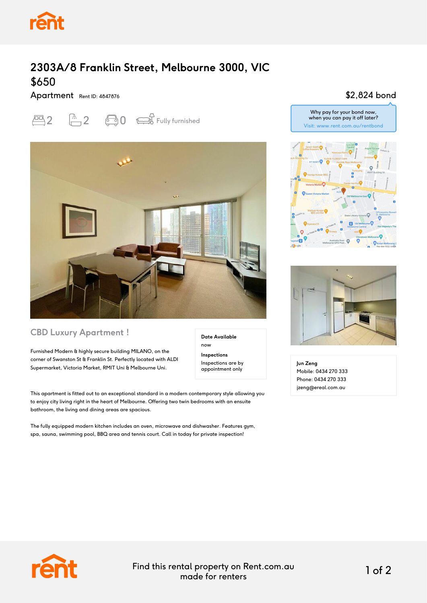

# **2303A/8 Franklin Street, Melbourne 3000, VIC** \$650

Apartment Rent ID: 4847876





#### **CBD Luxury Apartment !**

Furnished Modern & highly secure building MILANO, on the corner of Swanston St & Franklin St. Perfectly located with ALDI Supermarket, Victoria Market, RMIT Uni & Melbourne Uni.

**Date Available** now **Inspections**

Inspections are by appointment only

This apartment is fitted out to an exceptional standard in a modern contemporary style allowing you to enjoy city living right in the heart of Melbourne. Offering two twin bedrooms with an ensuite bathroom, the living and dining areas are spacious.

The fully equipped modern kitchen includes an oven, microwave and dishwasher. Features gym, spa, sauna, swimming pool, BBQ area and tennis court. Call in today for private inspection!

### \$2,824 bond







**Jun Zeng** Mobile: 0434 270 333 Phone: 0434 270 333 jzeng@ereal.com.au